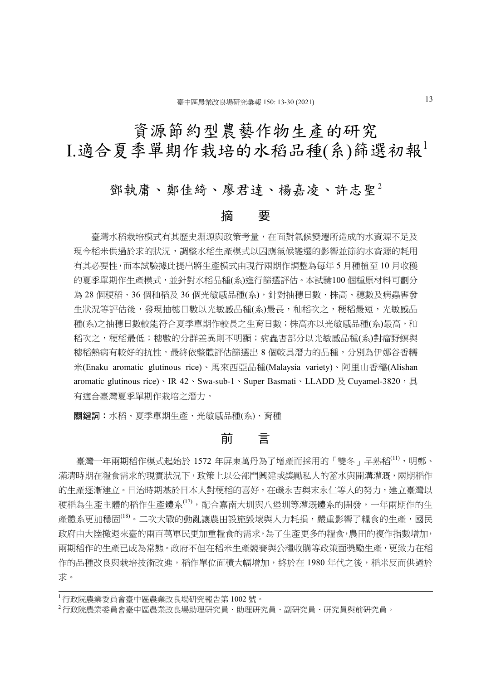# 資源節約型農藝作物生產的研究 I.適合夏季單期作栽培的水稻品種(系)篩選初報<sup>1</sup>

# 鄧執庸、鄭佳綺、廖君達、楊嘉凌、許志聖<sup>2</sup>

## 摘 要

 臺灣水稻栽培模式有其歷史淵源與政策考量,在面對氣候變遷所造成的水資源不足及 現今稻米供過於求的狀況,調整水稻生產模式以因應氣候變遷的影響並節約水資源的耗用 有其必要性,而本試驗據此提出將生產模式由現行兩期作調整為每年 5 月種植至 10 月收穫 的夏季單期作生產模式,並針對水稻品種(系)進行篩選評估。本試驗100 個種原材料可劃分 為 28 個稉稻、36 個秈稻及 36 個光敏感品種(系),針對抽穗日數、株高、穗數及病蟲害發 牛狀況等評估後,發現抽穗日數以光敏感品種(系)最長,秈稻次之,稉稻最短,光敏感品 種(系)之抽穗日數較能符合夏季單期作較長之生育日數;株高亦以光敏感品種(系)最高,秈 稻次之, 稉稻最低; 穗數的分群差異則不明顯; 病蟲害部分以光敏感品種(系)對瘤野螟與 穗稻熱病有較好的抗性。最終依整體評估篩選出 8 個較具潛力的品種,分別為伊娜谷香糯 米(Enaku aromatic glutinous rice)、馬來西亞品種(Malaysia variety)、阿里山香糯(Alishan aromatic glutinous rice)、IR  $42 \cdot Swa$ -sub-1、Super Basmati、LLADD 及 Cuyamel-3820,具 有適合臺灣夏季單期作栽培之潛力。

關鍵詞:水稻、夏季單期生產、光敏感品種(系)、育種

# 前 言

臺灣一年兩期稻作模式起始於 1572 年屏東萬丹為了增產而採用的「雙冬」早熟稻<sup>(11)</sup>, 明鄭、 滿清時期在糧食需求的現實狀況下,政策上以公部門興建或獎勵私人的蓄水與開溝灌溉,兩期稻作 的生產逐漸建立。日治時期基於日本人對稉稻的喜好,在磯永吉與末永仁等人的努力,建立臺灣以 稉稻為生產主體的稻作生產體系(17),配合嘉南大圳與八堡圳等灌溉體系的開發,一年兩期作的生 產體系更加穩固<sup>(18)</sup>。二次大戰的動亂讓農田設施毀壞與人力耗損,嚴重影響了糧食的生產,國民 政府由大陸撤退來臺的兩百萬軍民更加重糧食的需求,為了生產更多的糧食,農田的複作指數增加, 兩期稻作的生產已成為常態。政府不但在稻米生產競賽與公糧收購等政策面獎勵生產,更致力在稻 作的品種改良與栽培技術改進,稻作單位面積大幅增加,終於在 1980 年代之後,稻米反而供過於 求。

<sup>1</sup> 行政院農業委員會臺中區農業改良場研究報告第 1002 號。

<sup>2</sup> 行政院農業委員會臺中區農業改良場助理研究員、助理研究員、副研究員、研究員與前研究員。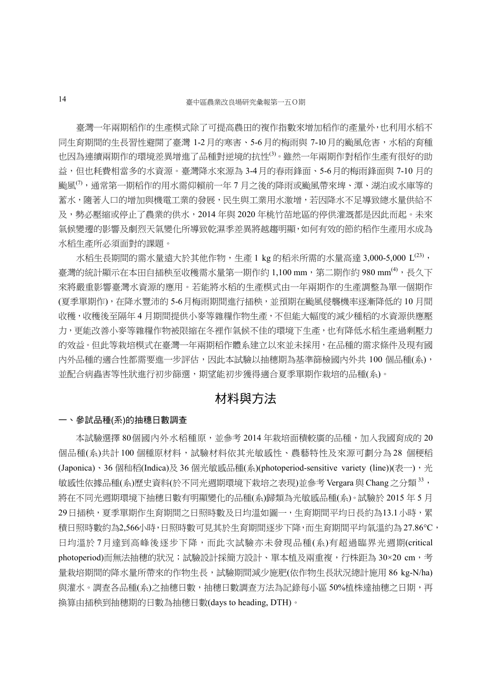臺灣一年兩期稻作的生產模式除了可提高農田的複作指數來增加稻作的產量外,也利用水稻不 同生育期間的生長習性避開了臺灣 1-2月的寒害、5-6 月的梅雨與 7-10月的颱風危害,水稻的育種 也因為連續兩期作的環境差異增進了品種對逆境的抗性(3)。雖然一年兩期作對稻作生產有很好的助 益,但也耗費相當多的水資源。臺灣降水來源為 3-4月的春雨鋒面、5-6月的梅雨鋒面與 7-10 月的 颱風(7),通常第一期稻作的用水需仰賴前一年 7 月之後的降雨或颱風帶來埤、潭、湖泊或水庫等的 蓄水,隨著人口的增加與機電工業的發展,民生與工業用水激增,若因降水不足導致總水量供給不 及,勢必壓縮或停止了農業的供水,2014 年與 2020 年桃竹苗地區的停供灌溉都是因此而起。未來 氣候變遷的影響及劇烈天氣變化所導致乾濕季差異將越趨明顯,如何有效的節約稻作生產用水成為 水稻生產所必須面對的課題。

水稻生長期間的需水量遠大於其他作物,生產 1 kg 的稻米所需的水量高達 3,000-5,000 L<sup>(23)</sup>, 臺灣的統計顯示在本田自插秧至收穫需水量第一期作約 1,100 mm,第二期作約 980 mm<sup>(4)</sup>,長久下 來將嚴重影響臺灣水資源的應用。若能將水稻的生產模式由一年兩期作的生產調整為單一個期作 (夏季單期作),在降水豐沛的 5-6月梅雨期間進行插秧,並預期在颱風侵襲機率逐漸降低的 10 月間 收穫,收穫後至隔年 4 月期間提供小麥等雜糧作物生產,不但能大幅度的減少種稻的水資源供應壓 力,更能改善小麥等雜糧作物被限縮在冬裡作氣候不佳的環境下生產,也有降低水稻生產過剩壓力 的效益。但此等栽培模式在臺灣一年兩期稻作體系建立以來並未採用,在品種的需求條件及現有國 內外品種的適合性都需要進一步評估,因此本試驗以抽穗期為基準篩檢國內外共 100 個品種(系), 並配合病蟲害等性狀進行初步篩選,期望能初步獲得適合夏季單期作栽培的品種(系)。

# 材料與方法

#### 一、參試品種(系)的抽穗日數調查

本試驗選擇 80個國內外水稻種原,並參考 2014 年栽培面積較廣的品種,加入我國育成的 20 個品種(系)共計 100 個種原材料,試驗材料依其光敏感性、農藝特性及來源可劃分為 28 個稉稻 (Japonica)、36 個和稻(Indica)及 36 個光敏感品種(系)(photoperiod-sensitive variety (line))(表一),光 敏感性依據品種(系)歷史資料(於不同光週期環境下栽培之表現)並參考 Vergara 與 Chang 之分類 <sup>33</sup>, 將在不同光週期環境下抽穗日數有明顯變化的品種(系)歸類為光敏感品種(系)。試驗於 2015 年 5 月 29日插秧,夏季單期作生育期間之日照時數及日均溫如圖一,生育期間平均日長約為13.1小時,累 積日照時數約為2,566小時,日照時數可見其於生育期間逐步下降,而生育期間平均氣溫約為 27.86°C, 日均溫於7月達到高峰後逐步下降,而此次試驗亦未發現品種(系)有超過臨界光週期(critical photoperiod)而無法抽穗的狀況;試驗設計採簡方設計、單本植及兩重複,行株距為 30×20 cm,考 量栽培期間的降水量所帶來的作物生長,試驗期間減少施肥(依作物生長狀況總計施用 86 kg-N/ha) 與灌水。調查各品種(系)之抽穗日數,抽穗日數調查方法為記錄每小區 50%植株達抽穗之日期,再 換算由插秧到抽穗期的日數為抽穗日數(days to heading, DTH)。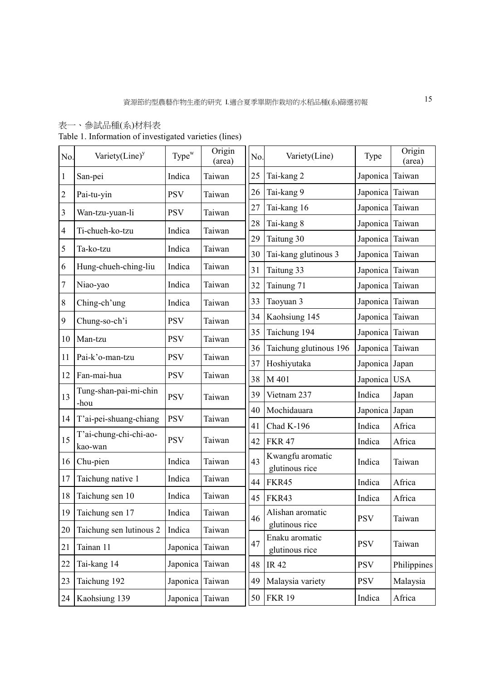## 表一、參試品種(系)材料表

Table 1. Information of investigated varieties (lines)

| No.            | Variety $(Line)^y$                | Type <sup>w</sup> | Origin<br>(area) | No. | Variety(Line)                      | Type            | Origin<br>(area) |
|----------------|-----------------------------------|-------------------|------------------|-----|------------------------------------|-----------------|------------------|
| 1              | San-pei                           | Indica            | Taiwan           | 25  | Tai-kang 2                         | Japonica        | Taiwan           |
| $\overline{c}$ | Pai-tu-yin                        | <b>PSV</b>        | Taiwan           | 26  | Tai-kang 9                         | Japonica Taiwan |                  |
| 3              | Wan-tzu-yuan-li                   | <b>PSV</b>        | Taiwan           | 27  | Tai-kang 16                        | Japonica        | Taiwan           |
| $\overline{4}$ | Ti-chueh-ko-tzu                   | Indica            | Taiwan           | 28  | Tai-kang 8                         | Japonica Taiwan |                  |
| 5              | Ta-ko-tzu                         | Indica            | Taiwan           | 29  | Taitung 30                         | Japonica        | Taiwan           |
|                |                                   |                   |                  | 30  | Tai-kang glutinous 3               | Japonica Taiwan |                  |
| 6              | Hung-chueh-ching-liu              | Indica            | Taiwan           | 31  | Taitung 33                         | Japonica        | Taiwan           |
| 7              | Niao-yao                          | Indica            | Taiwan           | 32  | Tainung 71                         | Japonica Taiwan |                  |
| $\,$ $\,$      | Ching-ch'ung                      | Indica            | Taiwan           | 33  | Taoyuan 3                          | Japonica        | Taiwan           |
| 9              | Chung-so-ch'i                     | <b>PSV</b>        | Taiwan           | 34  | Kaohsiung 145                      | Japonica Taiwan |                  |
| 10             | Man-tzu                           | <b>PSV</b>        | Taiwan           | 35  | Taichung 194                       | Japonica Taiwan |                  |
|                |                                   |                   |                  | 36  | Taichung glutinous 196             | Japonica Taiwan |                  |
| 11             | Pai-k'o-man-tzu                   | <b>PSV</b>        | Taiwan           | 37  | Hoshiyutaka                        | Japonica Japan  |                  |
| 12             | Fan-mai-hua                       | <b>PSV</b>        | Taiwan           | 38  | M 401                              | Japonica USA    |                  |
| 13             | Tung-shan-pai-mi-chin             | <b>PSV</b>        | Taiwan           | 39  | Vietnam 237                        | Indica          | Japan            |
|                | -hou                              |                   |                  | 40  | Mochidauara                        | Japonica Japan  |                  |
| 14             | T'ai-pei-shuang-chiang            | <b>PSV</b>        | Taiwan           | 41  | Chad K-196                         | Indica          | Africa           |
| 15             | T'ai-chung-chi-chi-ao-<br>kao-wan | <b>PSV</b>        | Taiwan           | 42  | <b>FKR 47</b>                      | Indica          | Africa           |
| 16             | Chu-pien                          | Indica            | Taiwan           | 43  | Kwangfu aromatic<br>glutinous rice | Indica          | Taiwan           |
| 17             | Taichung native 1                 | Indica            | Taiwan           | 44  | FKR45                              | Indica          | Africa           |
| 18             | Taichung sen 10                   | Indica            | Taiwan           | 45  | FKR43                              | Indica          | Africa           |
| 19             | Taichung sen 17                   | Indica            | Taiwan           | 46  | Alishan aromatic                   | <b>PSV</b>      | Taiwan           |
| 20             | Taichung sen lutinous 2           | Indica            | Taiwan           |     | glutinous rice                     |                 |                  |
| 21             | Tainan 11                         | Japonica          | Taiwan           | 47  | Enaku aromatic<br>glutinous rice   | <b>PSV</b>      | Taiwan           |
| 22             | Tai-kang 14                       | Japonica          | Taiwan           | 48  | <b>IR42</b>                        | <b>PSV</b>      | Philippines      |
| 23             | Taichung 192                      | Japonica          | Taiwan           | 49  | Malaysia variety                   | <b>PSV</b>      | Malaysia         |
| 24             | Kaohsiung 139                     | Japonica Taiwan   |                  | 50  | <b>FKR 19</b>                      | Indica          | Africa           |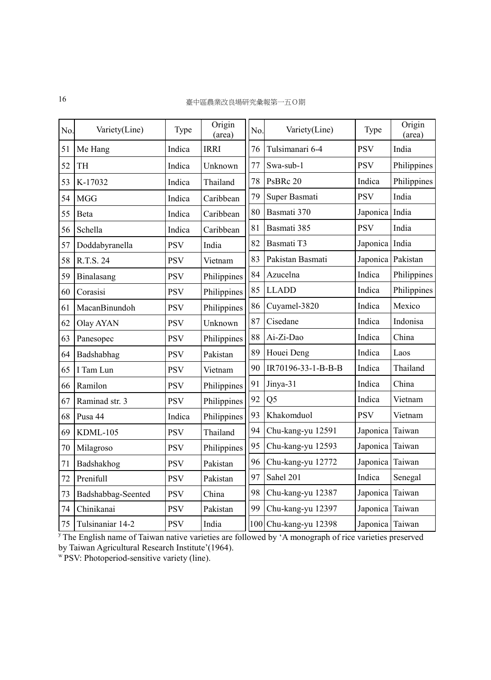| No. | Variety(Line)      | Type       | Origin<br>(area) | No. | Variety(Line)         | Type              | Origin<br>(area) |
|-----|--------------------|------------|------------------|-----|-----------------------|-------------------|------------------|
| 51  | Me Hang            | Indica     | <b>IRRI</b>      | 76  | Tulsimanari 6-4       | <b>PSV</b>        | India            |
| 52  | TH                 | Indica     | Unknown          | 77  | Swa-sub-1             | <b>PSV</b>        | Philippines      |
| 53  | K-17032            | Indica     | Thailand         | 78  | PsBRc 20              | Indica            | Philippines      |
| 54  | <b>MGG</b>         | Indica     | Caribbean        | 79  | Super Basmati         | <b>PSV</b>        | India            |
| 55  | Beta               | Indica     | Caribbean        | 80  | Basmati 370           | Japonica India    |                  |
| 56  | Schella            | Indica     | Caribbean        | 81  | Basmati 385           | <b>PSV</b>        | India            |
| 57  | Doddabyranella     | <b>PSV</b> | India            | 82  | Basmati T3            | Japonica India    |                  |
| 58  | R.T.S. 24          | <b>PSV</b> | Vietnam          | 83  | Pakistan Basmati      | Japonica Pakistan |                  |
| 59  | Binalasang         | <b>PSV</b> | Philippines      | 84  | Azucelna              | Indica            | Philippines      |
| 60  | Corasisi           | <b>PSV</b> | Philippines      | 85  | <b>LLADD</b>          | Indica            | Philippines      |
| 61  | MacanBinundoh      | <b>PSV</b> | Philippines      | 86  | Cuyamel-3820          | Indica            | Mexico           |
| 62  | Olay AYAN          | <b>PSV</b> | Unknown          | 87  | Cisedane              | Indica            | Indonisa         |
| 63  | Panesopec          | <b>PSV</b> | Philippines      | 88  | Ai-Zi-Dao             | Indica            | China            |
| 64  | Badshabhag         | <b>PSV</b> | Pakistan         | 89  | Houei Deng            | Indica            | Laos             |
| 65  | I Tam Lun          | <b>PSV</b> | Vietnam          | 90  | IR70196-33-1-B-B-B    | Indica            | Thailand         |
| 66  | Ramilon            | <b>PSV</b> | Philippines      | 91  | Jinya-31              | Indica            | China            |
| 67  | Raminad str. 3     | <b>PSV</b> | Philippines      | 92  | Q <sub>5</sub>        | Indica            | Vietnam          |
| 68  | Pusa 44            | Indica     | Philippines      | 93  | Khakomduol            | <b>PSV</b>        | Vietnam          |
| 69  | KDML-105           | <b>PSV</b> | Thailand         | 94  | Chu-kang-yu 12591     | Japonica          | Taiwan           |
| 70  | Milagroso          | <b>PSV</b> | Philippines      | 95  | Chu-kang-yu 12593     | Japonica          | Taiwan           |
| 71  | Badshakhog         | <b>PSV</b> | Pakistan         | 96  | Chu-kang-yu 12772     | Japonica          | Taiwan           |
| 72  | Prenifull          | <b>PSV</b> | Pakistan         | 97  | Sahel 201             | Indica            | Senegal          |
| 73  | Badshabbag-Seented | <b>PSV</b> | China            | 98  | Chu-kang-yu 12387     | Japonica          | Taiwan           |
| 74  | Chinikanai         | <b>PSV</b> | Pakistan         | 99  | Chu-kang-yu 12397     | Japonica Taiwan   |                  |
| 75  | Tulsinaniar 14-2   | <b>PSV</b> | India            |     | 100 Chu-kang-yu 12398 | Japonica Taiwan   |                  |

<sup>y</sup>The English name of Taiwan native varieties are followed by 'A monograph of rice varieties preserved by Taiwan Agricultural Research Institute'(1964).

<sup>w</sup>PSV: Photoperiod-sensitive variety (line).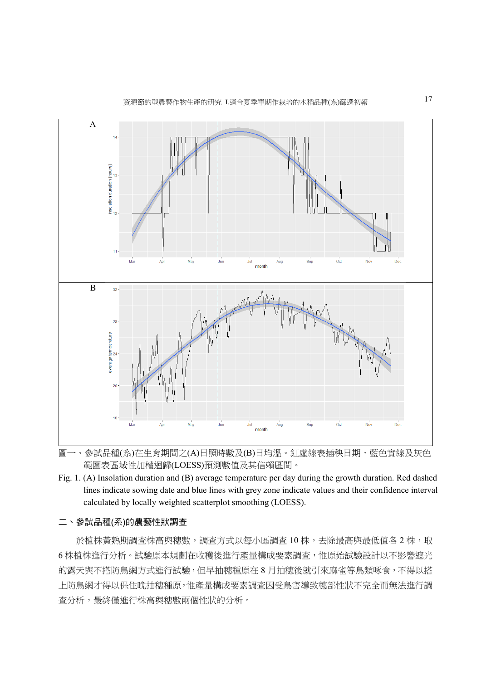

圖一、參試品種(系)在生育期間之(A)日照時數及(B)日均溫。紅虛線表插秧日期,藍色實線及灰色 範圍表區域性加權迴歸(LOESS)預測數值及其信賴區間。

Fig. 1. (A) Insolation duration and (B) average temperature per day during the growth duration. Red dashed lines indicate sowing date and blue lines with grey zone indicate values and their confidence interval calculated by locally weighted scatterplot smoothing (LOESS).

#### 二、參試品種(系)的農藝性狀調查

於植株黃熟期調查株高與穗數,調查方式以每小區調查 10 株,去除最高與最低值各 2 株,取 6 株植株進行分析。試驗原本規劃在收穫後進行產量構成要素調查,惟原始試驗設計以不影響遮光 的露天與不搭防鳥網方式進行試驗,但早抽穗種原在 8 月抽穗後就引來麻雀等鳥類啄食,不得以搭 上防鳥網才得以保住晚抽穗種原,惟產量構成要素調查因受鳥害導致穗部性狀不完全而無法進行調 查分析,最終僅進行株高與穗數兩個性狀的分析。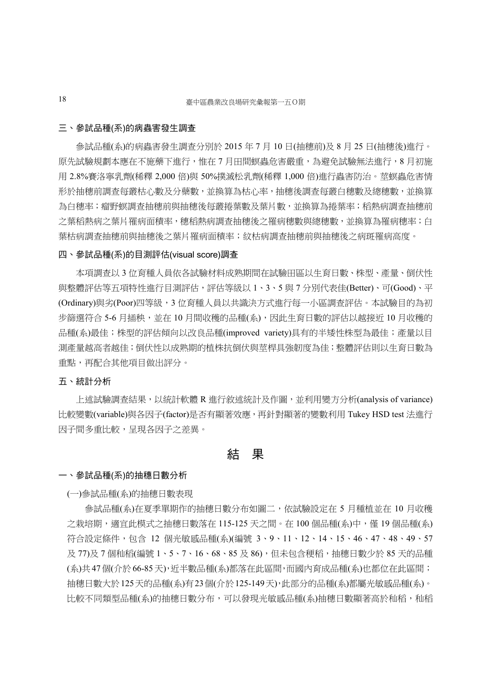#### 三、參試品種(系)的病蟲害發生調查

 參試品種(系)的病蟲害發生調查分別於 2015 年 7 月 10 日(抽穗前)及 8 月 25 日(抽穗後)進行。 原先試驗規劃本應在不施藥下進行,惟在 7 月田間螟蟲危害嚴重,為避免試驗無法進行,8 月初施 用 2.8%賽洛寧乳劑(稀釋 2,000 倍)與 50%撲滅松乳劑(稀釋 1,000 倍)進行蟲害防治。莖螟蟲危害情 形於抽穗前調查每叢枯心數及分蘗數,並換算為枯心率,抽穗後調查每叢白穗數及總穗數,並換算 為白穗率;瘤野螟調查抽穗前與抽穗後每叢捲葉數及葉片數,並換算為捲葉率;稻熱病調查抽穗前 之葉稻熱病之葉片罹病面積率,穗稻熱病調查抽穗後之罹病穗數與總穗數,並換算為罹病穗率;白 葉枯病調查抽穗前與抽穗後之葉片罹病面積率;紋枯病調查抽穗前與抽穗後之病斑罹病高度。

#### 四、參試品種(系)的目測評估(visual score)調查

 本項調查以 3 位育種人員依各試驗材料成熟期間在試驗田區以生育日數、株型、產量、倒伏性 與整體評估等五項特性進行目測評估,評估等級以 1、3、5 與 7 分別代表佳(Better)、可(Good)、平 (Ordinary)與劣(Poor)四等級,3 位育種人員以共識決方式進行每一小區調查評估。本試驗目的為初 步篩選符合 5-6 月插秧,並在 10 月間收穫的品種(系),因此生育日數的評估以越接近 10 月收穫的 品種(系)最佳;株型的評估傾向以改良品種(improved variety)具有的半矮性株型為最佳;產量以目 測產量越高者越佳;倒伏性以成熟期的植株抗倒伏與莖桿具強韌度為佳;整體評估則以生育日數為 重點,再配合其他項目做出評分。

#### 五、統計分析

 上述試驗調查結果,以統計軟體 R 進行敘述統計及作圖,並利用變方分析(analysis of variance) 比較變數(variable)與各因子(factor)是否有顯著效應,再針對顯著的變數利用 Tukey HSD test 法進行 因子間多重比較,呈現各因子之差異。

### 結 果

#### 一、參試品種(系)的抽穗日數分析

(一)參試品種(系)的抽穗日數表現

參試品種(系)在夏季單期作的抽穗日數分布如圖二,依試驗設定在 5 月種植並在 10 月收穫 之栽培期,適宜此模式之抽穗日數落在 115-125 天之間。在 100 個品種(系)中,僅 19 個品種(系) 符合設定條件,包含 12 個光敏感品種(系)(編號 3、9、11、12、14、15、46、47、48、49、57 及 77)及 7 個秈稻(編號 1、5、7、16、68、85 及 86),但未包含稉稻,抽穗日數少於 85 天的品種 (系)共47個(介於66-85天),近半數品種(系)都落在此區間,而國內育成品種(系)也都位在此區間; 抽穗日數大於125天的品種(系)有23個(介於125-149天),此部分的品種(系)都屬光敏感品種(系)。 比較不同類型品種(系)的抽穗日數分布,可以發現光敏感品種(系)抽穗日數顯著高於秈稻,秈稻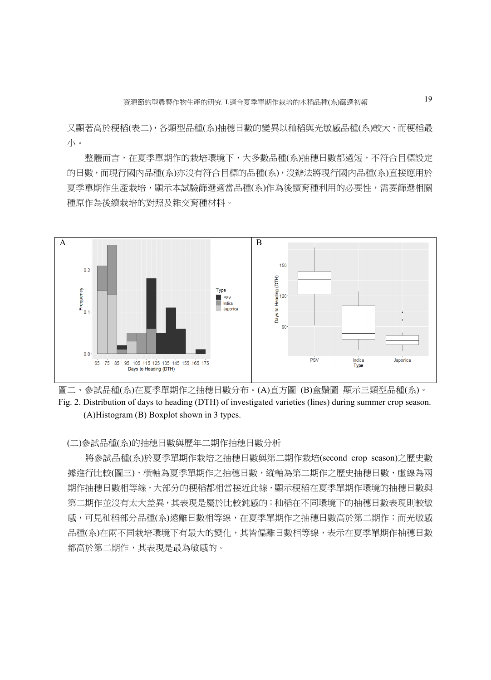又顯著高於稉稻(表二),各類型品種(系)抽穗日數的變異以秈稻與光敏感品種(系)較大,而稉稻最 小。

整體而言,在夏季單期作的栽培環境下,大多數品種(系)抽穗日數都過短,不符合目標設定 的日數,而現行國內品種(系)亦沒有符合目標的品種(系),沒辦法將現行國內品種(系)直接應用於 夏季單期作生產栽培,顯示本試驗篩選適當品種(系)作為後續育種利用的必要性,需要篩選相關 種原作為後續栽培的對照及雜交育種材料。





(二)參試品種(系)的抽穗日數與歷年二期作抽穗日數分析

將參試品種(系)於夏季單期作栽培之抽穗日數與第二期作栽培(second crop season)之歷史數 據進行比較(圖三), 橫軸為夏季單期作之抽穗日數,縱軸為第二期作之歷史抽穗日數,虛線為兩 期作抽穗日數相等線,大部分的稉稻都相當接近此線,顯示稉稻在夏季單期作環境的抽穗日數與 第二期作並沒有太大差異,其表現是屬於比較鈍感的;秈稻在不同環境下的抽穗日數表現則較敏 感,可見秈稻部分品種(系)遠離日數相等線,在夏季單期作之抽穗日數高於第二期作;而光敏感 品種(系)在兩不同栽培環境下有最大的變化,其皆偏離日數相等線,表示在夏季單期作抽穗日數 都高於第二期作,其表現是最為敏感的。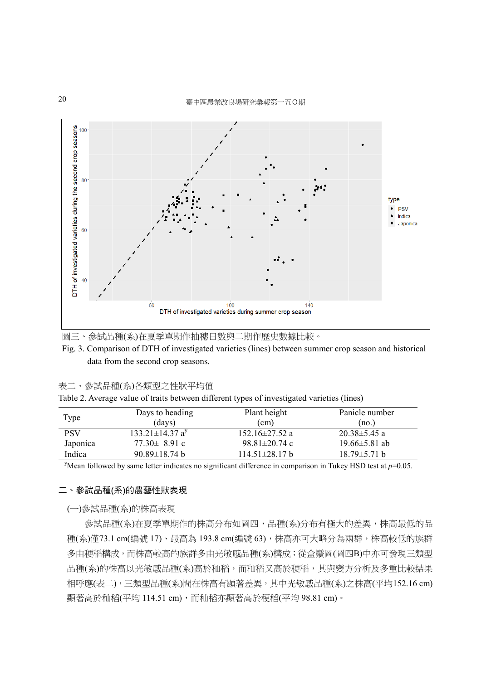

圖三、參試品種(系)在夏季單期作抽穗日數與二期作歷史數據比較。

Fig. 3. Comparison of DTH of investigated varieties (lines) between summer crop season and historical data from the second crop seasons.

#### 表二、參試品種(系)各類型之性狀平均值

Table 2. Average value of traits between different types of investigated varieties (lines)

| Type       | Days to heading<br>(days)         | Plant height<br>$\text{cm}$  | Panicle number<br>(no.) |
|------------|-----------------------------------|------------------------------|-------------------------|
| <b>PSV</b> | $133.21 \pm 14.37$ a <sup>y</sup> | $152.16 \pm 27.52$ a         | $20.38 \pm 5.45$ a      |
| Japonica   | $77.30 \pm 8.91$ c                | $98.81 \pm 20.74$ c          | $19.66 \pm 5.81$ ab     |
| Indica     | $90.89 \pm 18.74$ b               | $114.51 \pm 28.17 \text{ b}$ | $18.79 \pm 5.71$ b      |

<sup>y</sup>Mean followed by same letter indicates no significant difference in comparison in Tukey HSD test at  $p=0.05$ .

#### 二、參試品種(系)的農藝性狀表現

#### (一)參試品種(系)的株高表現

 參試品種(系)在夏季單期作的株高分布如圖四,品種(系)分布有極大的差異,株高最低的品 種(系)僅73.1 cm(編號 17)、最高為 193.8 cm(編號 63),株高亦可大略分為兩群,株高較低的族群 多由稉稻構成,而株高較高的族群多由光敏感品種(系)構成;從盒鬚圖(圖四B)中亦可發現三類型 品種(系)的株高以光敏感品種(系)高於秈稻,而秈稻又高於稉稻,其與變方分析及多重比較結果 相呼應(表二),三類型品種(条)間在株高有顯著差異,其中光敏感品種(系)之株高(平均152.16 cm) 顯著高於秈稻(平均 114.51 cm),而秈稻亦顯著高於稉稻(平均 98.81 cm)。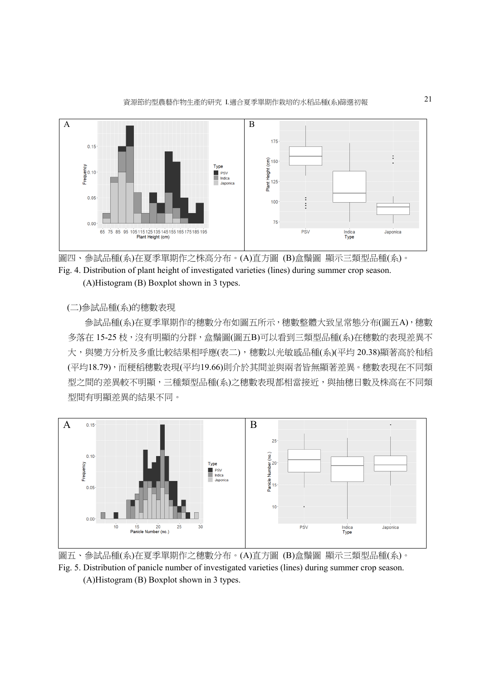



(二)參試品種(系)的穗數表現

 參試品種(系)在夏季單期作的穗數分布如圖五所示,穗數整體大致呈常態分布(圖五A),穗數 多落在 15-25 枝,沒有明顯的分群,盒鬚圖(圖五B)可以看到三類型品種(系)在穗數的表現差異不 大,與變方分析及多重比較結果相呼應(表二),穗數以光敏感品種(系)(平均 20.38)顯著高於秈稻 (平均18.79),而稉稻穗數表現(平均19.66)則介於其間並與兩者皆無顯著差異。穗數表現在不同類 型之間的差異較不明顯,三種類型品種(系)之穗數表現都相當接近,與抽穗日數及株高在不同類 型間有明顯差異的結果不同。



圖五、參試品種(系)在夏季單期作之穗數分布。(A)直方圖 (B)盒鬚圖 顯示三類型品種(系)。 Fig. 5. Distribution of panicle number of investigated varieties (lines) during summer crop season. (A)Histogram (B) Boxplot shown in 3 types.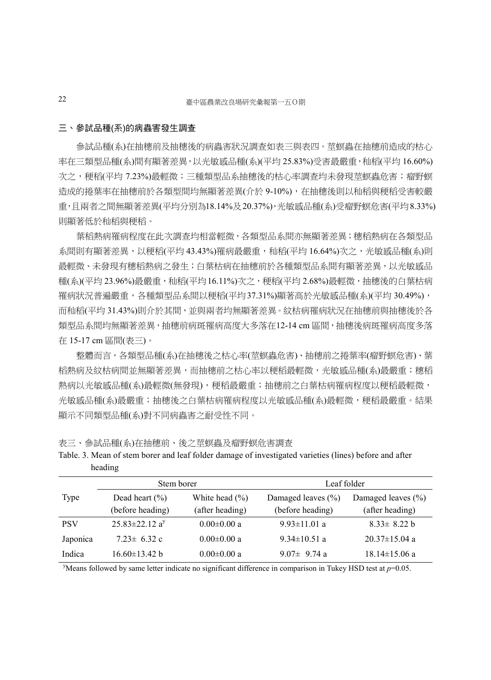#### 三、參試品種(系)的病蟲害發生調查

參試品種(系)在抽穗前及抽穗後的病蟲害狀況調查如表三與表四。莖螟蟲在抽穗前造成的枯心 率在三類型品種(系)間有顯著差異,以光敏感品種(系)(平均 25.83%)受害最嚴重,秈稻(平均 16.60%) 次之, 梗稻(平均 7.23%)最輕微;三種類型品系抽穗後的枯心率調查均未發現莖螟蟲危害;瘤野螟 造成的捲葉率在抽穗前於各類型間均無顯著差異(介於 9-10%),在抽穗後則以秈稻與稉稻受害較嚴 重,且兩者之間無顯著差異(平均分別為18.14%及20.37%),光敏感品種(系)受瘤野螟危害(平均8.33%) 則顯著低於秈稻與稉稻。

葉稻熱病罹病程度在此次調查均相當輕微,各類型品系間亦無顯著差異;穗稻熱病在各類型品 系間則有顯著差異,以稉稻(平均 43.43%)罹病最嚴重,秈稻(平均 16.64%)次之,光敏感品種(系)則 最輕微、未發現有穗稻熱病之發生;白葉枯病在抽穗前於各種類型品系間有顯著差異,以光敏感品 種(系)(平均 23.96%)最嚴重,秈稻(平均 16.11%)次之,稉稻(平均 2.68%)最輕微,抽穗後的白葉枯病 罹病狀況普遍嚴重,各種類型品系間以稉稻(平均37.31%)顯著高於光敏感品種(系)(平均 30.49%), 而秈稻(平均 31.43%)則介於其間,並與兩者均無顯著差異。紋枯病罹病狀況在抽穗前與抽穗後於各 類型品系間均無顯著差異,抽穗前病斑罹病高度大多落在12-14 cm 區間,抽穗後病斑罹病高度多落 在 15-17 cm 區間(表三)。

整體而言,各類型品種(系)在抽穗後之枯心率(莖螟蟲危害)、抽穗前之捲葉率(瘤野螟危害)、葉 稻熱病及紋枯病間並無顯著差異,而抽穗前之枯心率以稉稻最輕微,光敏感品種(系)最嚴重;穗稻 熱病以光敏感品種(系)最輕微(無發現),稉稻最嚴重;抽穗前之白葉枯病罹病程度以稉稻最輕微, 光敏感品種(系)最嚴重;抽穗後之白葉枯病罹病程度以光敏感品種(系)最輕微,稉稻最嚴重。結果 顯示不同類型品種(系)對不同病蟲害之耐受性不同。

表三、參試品種(系)在抽穗前、後之莖螟蟲及瘤野螟危害調查

|            | Stem borer                       |                    | Leaf folder            |                        |  |
|------------|----------------------------------|--------------------|------------------------|------------------------|--|
| Type       | Dead heart $(\% )$               | White head $(\% )$ | Damaged leaves $(\% )$ | Damaged leaves $(\% )$ |  |
|            | (before heading)                 | (after heading)    | (before heading)       | (after heading)        |  |
| <b>PSV</b> | $25.83 \pm 22.12$ a <sup>y</sup> | $0.00 \pm 0.00$ a  | $9.93 \pm 11.01$ a     | $8.33 \pm 8.22$ b      |  |
| Japonica   | $7.23 \pm 6.32$ c                | $0.00 \pm 0.00$ a  | $9.34 \pm 10.51$ a     | $20.37 \pm 15.04$ a    |  |
| Indica     | $16.60\pm13.42$ b                | $0.00 \pm 0.00$ a  | 9.07 $\pm$ 9.74 a      | $18.14 \pm 15.06$ a    |  |

Table. 3. Mean of stem borer and leaf folder damage of investigated varieties (lines) before and after heading

<sup>y</sup>Means followed by same letter indicate no significant difference in comparison in Tukey HSD test at  $p=0.05$ .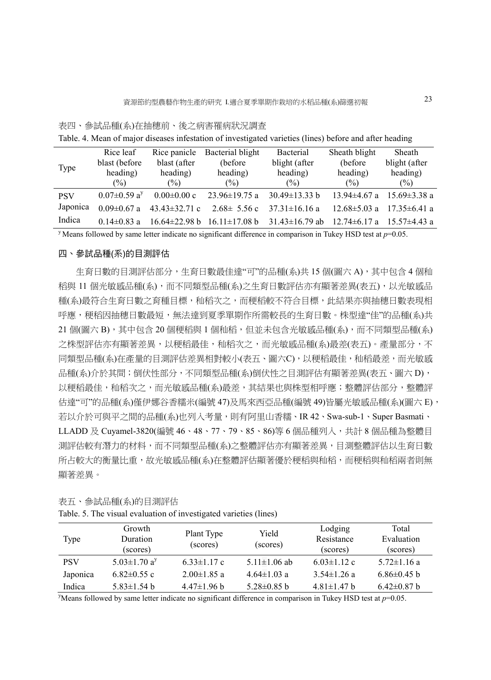#### 表四、參試品種(系)在抽穗前、後之病害罹病狀況調查

|            | Rice leaf                      | Rice panicle        | Bacterial blight  | Bacterial                                                | Sheath blight      | Sheath                            |
|------------|--------------------------------|---------------------|-------------------|----------------------------------------------------------|--------------------|-----------------------------------|
|            | blast (before                  | blast (after        | (before)          | blight (after                                            | (before)           | blight (after                     |
| Type       | heading)                       | heading)            | heading)          | heading)                                                 | heading)           | heading)                          |
|            | $\frac{6}{2}$                  | $(\% )$             | $\frac{6}{2}$     | $\frac{6}{2}$                                            | (%)                | $(\%)$                            |
| <b>PSV</b> | $0.07 \pm 0.59$ a <sup>y</sup> | $0.00 \pm 0.00$ c   | $23.96\pm19.75$ a | $30.49 \pm 13.33 b$                                      | $13.94 \pm 4.67$ a | $15.69 \pm 3.38$ a                |
| Japonica   | $0.09 \pm 0.67$ a              | $43.43 \pm 32.71$ c | $2.68 \pm 5.56$ c | $37.31 \pm 16.16$ a                                      | $12.68 \pm 5.03$ a | $17.35 \pm 6.41$ a                |
| Indica     | $0.14\pm0.83$ a                | $16.64 \pm 22.98 b$ |                   | $16.11 \pm 17.08 \text{ b}$ $31.43 \pm 16.79 \text{ ab}$ |                    | $12.74\pm6.17$ a $15.57\pm4.43$ a |

Table. 4. Mean of major diseases infestation of investigated varieties (lines) before and after heading

<sup>y</sup> Means followed by same letter indicate no significant difference in comparison in Tukey HSD test at  $p=0.05$ .

#### 四、參試品種(系)的目測評估

生育日數的目測評估部分,生育日數最佳達"可"的品種(系)共 15 個(圖六 A), 其中包含 4 個秈 稻與 11 個光敏感品種(系),而不同類型品種(系)之生育日數評估亦有顯著差異(表五),以光敏感品 種(系)最符合生育日數之育種目標,秈稻次之,而稉稻較不符合目標,此結果亦與抽穗日數表現相 呼應,稉稻因抽穗日數最短,無法達到夏季單期作所需較長的生育日數。株型達"佳"的品種(系)共 21個(圖六 B), 其中包含 20個稉稻與 1 個秈稻,但並未包含光敏感品種(系), 而不同類型品種(系) 之株型評估亦有顯著差異,以稉稻最佳,秈稻次之,而光敏感品種(系)最差(表五)。產量部分,不 同類型品種(系)在產量的目測評估差異相對較小(表五、圖六C),以稉稻最佳,和稻最差,而光敏感 品種(系)介於其間;倒伏性部分,不同類型品種(系)倒伏性之目測評估有顯著差異(表五、圖六 D), 以稉稻最佳,和稻次之,而光敏感品種(系)最差,其結果也與株型相呼應;整體評估部分,整體評 估達"可"的品種(系)僅伊娜谷香糯米(編號 47)及馬來西亞品種(編號 49)皆屬光敏感品種(系)(圖六 E), 若以介於可與平之間的品種(系)也列入考量,則有阿里山香糯、IR 42、Swa-sub-1、Super Basmati、 LLADD 及 Cuyamel-3820(編號 46、48、77、79、85、86)等 6 個品種列入,共計 8 個品種為整體目 測評估較有潛力的材料,而不同類型品種(系)之整體評估亦有顯著差異,目測整體評估以生育日數 所占較大的衡量比重,故光敏感品種(系)在整體評估顯著優於稉稻與秈稻,而稉稻與秈稻兩者則無 顯著差異。

| Type       | Growth<br>Duration<br>(scores) | Plant Type<br>(scores) | Yield<br>(scores)  | Lodging<br>Resistance<br>(scores) | Total<br>Evaluation<br>(scores) |
|------------|--------------------------------|------------------------|--------------------|-----------------------------------|---------------------------------|
| <b>PSV</b> | 5.03 $\pm$ 1.70 a <sup>y</sup> | $6.33 \pm 1.17$ c      | 5.11 $\pm$ 1.06 ab | $6.03 \pm 1.12$ c                 | $5.72 \pm 1.16$ a               |
| Japonica   | $6.82\pm0.55$ c                | $2.00 \pm 1.85$ a      | $4.64 \pm 1.03$ a  | $3.54 \pm 1.26$ a                 | $6.86\pm0.45$ b                 |
| Indica     | $5.83 \pm 1.54$ b              | $4.47\pm1.96$ b        | $5.28 \pm 0.85$ b  | $4.81 \pm 1.47$ b                 | $6.42 \pm 0.87$ b               |

表五、參試品種(系)的目測評估

Table. 5. The visual evaluation of investigated varieties (lines)

<sup>y</sup>Means followed by same letter indicate no significant difference in comparison in Tukey HSD test at  $p=0.05$ .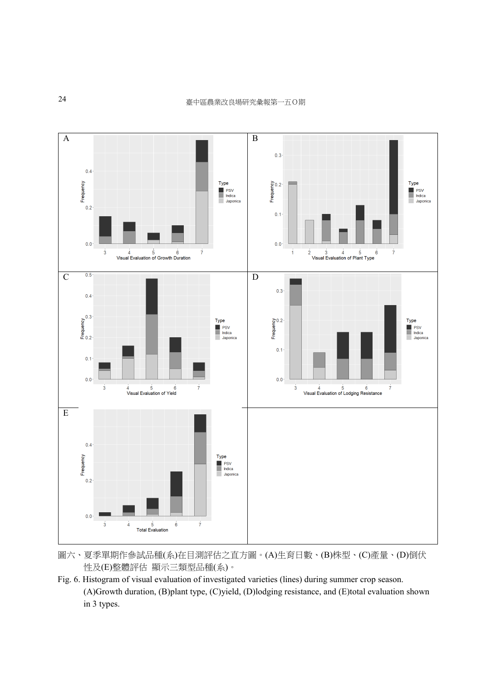

圖六、夏季單期作參試品種(系)在目測評估之直方圖。(A)生育日數、(B)株型、(C)產量、(D)倒伏 性及(E)整體評估 顯示三類型品種(系)。

Fig. 6. Histogram of visual evaluation of investigated varieties (lines) during summer crop season. (A)Growth duration, (B)plant type, (C)yield, (D)lodging resistance, and (E)total evaluation shown in 3 types.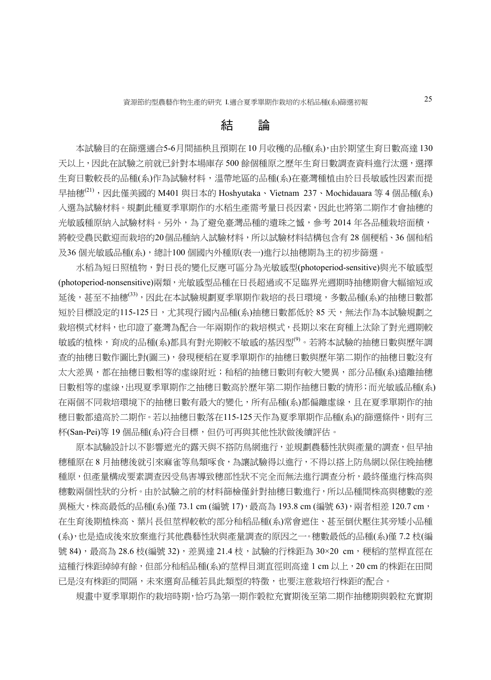# 結 論

 本試驗目的在篩選適合5-6月間插秧且預期在 10 月收穫的品種(系),由於期望生育日數高達 130 天以上,因此在試驗之前就已針對本場庫存 500 餘個種原之歷年生育日數調查資料進行汰選,選擇 生育日數較長的品種(系)作為試驗材料,溫帶地區的品種(系)在臺灣種植由於日長敏感性因素而提 早抽穗<sup>(21)</sup>,因此僅美國的 M401 與日本的 Hoshyutaka、Vietnam 237、Mochidauara 等 4 個品種(系) 入選為試驗材料。規劃此種夏季單期作的水稻生產需考量日長因素,因此也將第二期作才會抽穗的 光敏感種原納入試驗材料。另外,為了避免臺灣品種的遺珠之憾,參考 2014 年各品種栽培面積, 將較受農民歡迎而栽培的20個品種納入試驗材料,所以試驗材料結構包含有 28 個種稻、36 個和稻 及36個光敏感品種(系),總計100個國內外種原(表一)進行以抽穗期為主的初步篩選。

 水稻為短日照植物,對日長的變化反應可區分為光敏感型(photoperiod-sensitive)與光不敏感型 (photoperiod-nonsensitive)兩類,光敏感型品種在日長超過或不足臨界光週期時抽穗期會大幅縮短或 延後,甚至不抽穗<sup>(33)</sup>,因此在本試驗規劃夏季單期作栽培的長日環境,多數品種(系)的抽穗日數都 短於目標設定的115-125日,尤其現行國內品種(系)抽穗日數都低於 85 天,無法作為本試驗規劃之 栽培模式材料,也印證了臺灣為配合一年兩期作的栽培模式,長期以來在育種上汰除了對光週期較 敏感的植株,育成的品種(系)都具有對光期較不敏感的基因型<sup>(9)</sup>。若將本試驗的抽穗日數與歷年調 查的抽穗日數作圖比對(圖三),發現稉稻在夏季單期作的抽穗日數與歷年第二期作的抽穗日數沒有 太大差異,都在抽穗日數相等的虛線附近;秈稻的抽穗日數則有較大變異,部分品種(系)遠離抽穗 日數相等的虛線,出現夏季單期作之抽穗日數高於歷年第二期作抽穗日數的情形;而光敏感品種(系) 在兩個不同栽培環境下的抽穗日數有最大的變化,所有品種(系)都偏離虛線,且在夏季單期作的抽 穗日數都遠高於二期作。若以抽穗日數落在115-125天作為夏季單期作品種(系)的篩選條件,則有三 杯(San-Pei)等 19 個品種(系)符合目標,但仍可再與其他性狀做後續評估。

原本試驗設計以不影響遮光的露天與不搭防鳥網進行,並規劃農藝性狀與產量的調查,但早抽 穗種原在 8 月抽穗後就引來麻雀等鳥類啄食,為讓試驗得以進行,不得以搭上防鳥網以保住晚抽穗 種原,但產量構成要素調查因受鳥害導致穗部性狀不完全而無法進行調查分析,最終僅進行株高與 穗數兩個性狀的分析。由於試驗之前的材料篩檢僅針對抽穗日數進行,所以品種間株高與穗數的差 異極大,株高最低的品種(系)僅 73.1 cm (編號 17),最高為 193.8 cm (編號 63),兩者相差 120.7 cm, 在生育後期植株高、葉片長但莖桿較軟的部分秈稻品種(系)常會遮住、甚至倒伏壓住其旁矮小品種 (系),也是造成後來放棄進行其他農藝性狀與產量調查的原因之一。穗數最低的品種(系)僅 7.2 枝(編 號 84), 最高為 28.6 枝(編號 32), 差異達 21.4 枝,試驗的行株距為 30×20 cm, 稉稻的莖桿直徑在 這種行株距綽綽有餘,但部分秈稻品種(系)的莖桿目測直徑則高達 1 cm 以上,20 cm 的株距在田間 已是沒有株距的間隔,未來選育品種若具此類型的特徵,也要注意栽培行株距的配合。

規畫中夏季單期作的栽培時期,恰巧為第一期作穀粒充實期後至第二期作抽穗期與穀粒充實期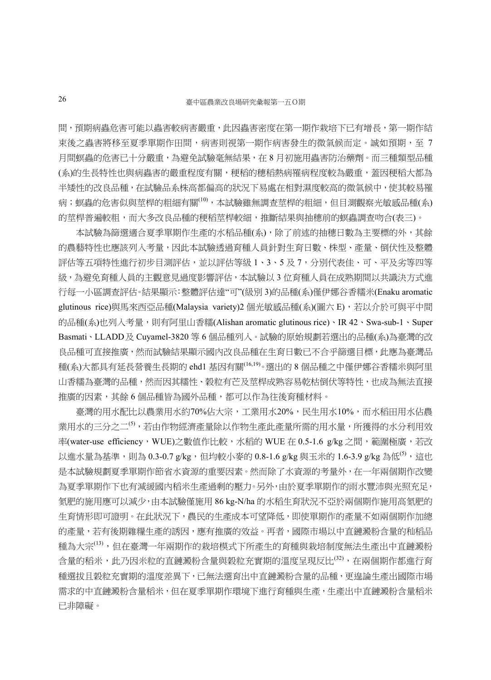間,預期病蟲危害可能以蟲害較病害嚴重,此因蟲害密度在第一期作栽培下已有增長,第一期作結 束後之蟲害將移至夏季單期作田間,病害則視第一期作病害發生的微氣候而定。誠如預期,至 7 月間螟蟲的危害已十分嚴重,為避免試驗毫無結果,在 8 月初施用蟲害防治藥劑。而三種類型品種 (系)的生長特性也與病蟲害的嚴重程度有關, 梗稻的穗稻熱病罹病程度較為嚴重, 蓋因稉稻大都為 半矮性的改良品種,在試驗品系株高都偏高的狀況下易處在相對濕度較高的微氣候中,使其較易罹 病;螟蟲的危害似與莖桿的粗細有關<sup>(10)</sup>,本試驗雖無調查莖桿的粗細,但目測觀察光敏感品種(系) 的莖桿普遍較粗,而大多改良品種的稉稻莖桿較細,推斷結果與抽穗前的螟蟲調查吻合(表三)。

本試驗為篩選適合夏季單期作生產的水稻品種(系),除了前述的抽穗日數為主要標的外,其餘 的農藝特性也應該列入考量,因此本試驗透過育種人員針對生育日數、株型、產量、倒伏性及整體 評估等五項特性進行初步目測評估,並以評估等級 1、3、5 及 7,分別代表佳、可、平及劣等四等 級,為避免育種人員的主觀意見過度影響評估,本試驗以 3 位育種人員在成熟期間以共識決方式進 行每一小區調查評估。結果顯示:整體評估達"可"(級別 3)的品種(系)僅伊娜谷香糯米(Enaku aromatic glutinous rice)與馬來西亞品種(Malaysia variety)2 個光敏感品種(系)(圖六 E),若以介於可與平中間 的品種(系)也列入考量,則有阿里山香糯(Alishan aromatic glutinous rice)、IR 42、Swa-sub-1、Super Basmati、LLADD及 Cuyamel-3820 等 6 個品種列入。試驗的原始規劃若選出的品種(系)為臺灣的改 良品種可直接推廣,然而試驗結果顯示國內改良品種在生育日數已不合乎篩選目標,此應為臺灣品 種(系)大都具有延長營養生長期的 ehd1 基因有關(16,19)。選出的 8 個品種之中僅伊娜谷香糯米與阿里 山香糯為臺灣的品種,然而因其糯性、穀粒有芒及莖桿成熟容易乾枯倒伏等特性,也成為無法直接 推廣的因素,其餘 6 個品種皆為國外品種,都可以作為往後育種材料。

 臺灣的用水配比以農業用水約70%佔大宗,工業用水20%,民生用水10%,而水稻田用水佔農 業用水的三分之二<sup>(5)</sup>,若由作物經濟產量除以作物生產此產量所需的用水量,所獲得的水分利用效 率(water-use efficiency, WUE)之數值作比較, 水稻的 WUE 在 0.5-1.6 g/kg 之間,範圍極廣, 若改 以進水量為基準,則為 0.3-0.7 g/kg,但均較小麥的 0.8-1.6 g/kg 與玉米的 1.6-3.9 g/kg 為低<sup>(5)</sup>,這也 是本試驗規劃夏季單期作節省水資源的重要因素。然而除了水資源的考量外,在一年兩個期作改變 為夏季單期作下也有減緩國內稻米生產過剩的壓力。另外,由於夏季單期作的雨水豐沛與光照充足, 氮肥的施用應可以減少,由本試驗僅施用 86 kg-N/ha 的水稻生育狀況不亞於兩個期作施用高氮肥的 生育情形即可證明。在此狀況下,農民的生產成本可望降低,即使單期作的產量不如兩個期作加總 的產量,若有後期雜糧生產的誘因,應有推廣的效益。再者,國際市場以中直鏈澱粉含量的秈稻品 種為大宗<sup>(13)</sup>,但在臺灣一年兩期作的栽培模式下所產生的育種與栽培制度無法生產出中直鏈澱粉 含量的稻米,此乃因米粒的直鏈澱粉含量與穀粒充實期的溫度呈現反比<sup>(32)</sup>,在兩個期作都進行育 種選拔且穀粒充實期的溫度差異下,已無法選育出中直鏈澱粉含量的品種,更遑論生產出國際市場 需求的中直鏈澱粉含量稻米,但在夏季單期作環境下進行育種與生產,生產出中直鏈澱粉含量稻米 已非障礙。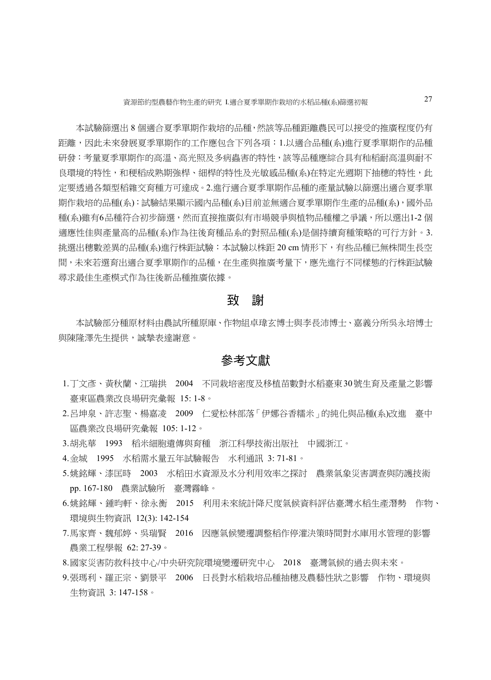本試驗篩選出 8 個適合夏季單期作栽培的品種,然該等品種距離農民可以接受的推廣程度仍有 距離,因此未來發展夏季單期作的工作應包含下列各項:1.以適合品種(系)進行夏季單期作的品種 研發:考量夏季單期作的高溫、高光照及多病蟲害的特性,該等品種應綜合具有秈稻耐高溫與耐不 良環境的特性,和稉稻成熟期強桿、細桿的特性及光敏感品種(系)在特定光週期下抽穗的特性,此 定要透過各類型稻雜交育種方可達成。2.進行適合夏季單期作品種的產量試驗以篩選出適合夏季單 期作栽培的品種(系):試驗結果顯示國內品種(系)目前並無適合夏季單期作生產的品種(系),國外品 種(系)雖有6品種符合初步篩選,然而直接推廣似有市場競爭與植物品種權之爭議,所以選出1-2 個 適應性佳與產量高的品種(系)作為往後育種品系的對照品種(系)是個持續育種策略的可行方針。3. 挑選出穗數差異的品種(系)進行株距試驗:本試驗以株距 20 cm 情形下,有些品種已無株間生長空 間,未來若選育出適合夏季單期作的品種,在生產與推廣考量下,應先進行不同樣態的行株距試驗 尋求最佳生產模式作為往後新品種推廣依據。

# 致 謝

 本試驗部分種原材料由農試所種原庫、作物組卓瑋玄博士與李長沛博士、嘉義分所吳永培博士 與陳隆澤先生提供,誠摯表達謝意。

#### 參考文獻

- 1.丁文彥、黃秋蘭、江瑞拱 2004 不同栽培密度及移植苗數對水稻臺東30號生育及產量之影響 臺東區農業改良場研究彙報 15: 1-8。
- 2.呂坤泉、許志聖、楊嘉凌 2009 仁愛松林部落「伊娜谷香糯米」的純化與品種(系)改進 臺中 區農業改良場研究彙報 105: 1-12。
- 3.胡兆華 1993 稻米細胞遺傳與育種 浙江科學技術出版社 中國浙江。
- 4.金城 1995 水稻需水量五年試驗報告 水利通訊 3: 71-81。
- 5.姚銘輝、漆匡時 2003 水稻田水資源及水分利用效率之探討 農業氣象災害調查與防護技術 pp. 167-180 農業試驗所 臺灣霧峰。
- 6.姚銘輝、鍾昀軒、徐永衡 2015 利用未來統計降尺度氣候資料評估臺灣水稻生產潛勢 作物、 環境與生物資訊 12(3): 142-154
- 7.馬家齊、魏郁婷、吳瑞賢 2016 因應氣候變遷調整稻作停灌決策時間對水庫用水管理的影響 農業工程學報 62: 27-39。
- 8.國家災害防救科技中心/中央研究院環境變遷研究中心 2018 臺灣氣候的過去與未來。
- 9.張瑪利、羅正宗、劉景平 2006 日長對水稻栽培品種抽穗及農藝性狀之影響 作物、環境與 生物資訊 3: 147-158。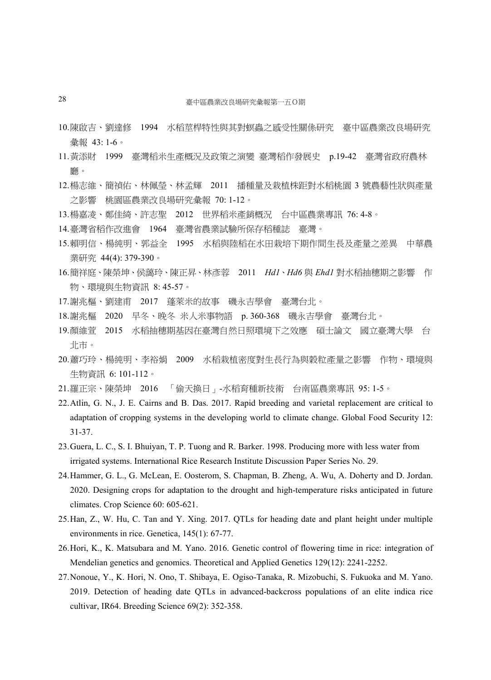- 10.陳啟吉、劉達修 1994 水稻莖桿特性與其對螟蟲之感受性關係研究 臺中區農業改良場研究 彙報 43: 1-6。
- 11.黃添財 1999 臺灣稻米生產概況及政策之演變 臺灣稻作發展史 p.19-42 臺灣省政府農林 廳。
- 12.楊志維、簡禎佑、林佩瑩、林孟輝 2011 播種量及栽植株距對水稻桃園 3 號農藝性狀與產量 之影響 桃園區農業改良場研究彙報 70: 1-12。
- 13.楊嘉凌、鄭佳綺、許志聖 2012 世界稻米產銷概況 台中區農業專訊 76: 4-8。
- 14.臺灣省稻作改進會 1964 臺灣省農業試驗所保存稻種誌 臺灣。
- 15.賴明信、楊純明、郭益全 1995 水稻與陸稻在水田栽培下期作間生長及產量之差異 中華農 業研究 44(4): 379-390。
- 16.簡祥庭、陳榮坤、侯藹玲、陳正昇、林彥蓉 2011 *Hd1*、*Hd6* 與 *Ehd1* 對水稻抽穗期之影響 作 物、環境與生物資訊 8: 45-57。
- 17.謝兆樞、劉建甫 2017 蓬萊米的故事 磯永吉學會 臺灣台北。
- 18.謝兆樞 2020 早冬、晚冬 米人米事物語 p. 360-368 磯永吉學會 臺灣台北。
- 19.顏維萱 2015 水稻抽穗期基因在臺灣自然日照環境下之效應 碩士論文 國立臺灣大學 台 北市。
- 20.蕭巧玲、楊純明、李裕娟 2009 水稻栽植密度對生長行為與穀粒產量之影響 作物、環境與 生物資訊 6: 101-112。
- 21.羅正宗、陳榮坤 2016 「偷天換日」-水稻育種新技術 台南區農業專訊 95: 1-5。
- 22.Atlin, G. N., J. E. Cairns and B. Das. 2017. Rapid breeding and varietal replacement are critical to adaptation of cropping systems in the developing world to climate change. Global Food Security 12: 31-37.
- 23.Guera, L. C., S. I. Bhuiyan, T. P. Tuong and R. Barker. 1998. Producing more with less water from irrigated systems. International Rice Research Institute Discussion Paper Series No. 29.
- 24.Hammer, G. L., G. McLean, E. Oosterom, S. Chapman, B. Zheng, A. Wu, A. Doherty and D. Jordan. 2020. Designing crops for adaptation to the drought and high-temperature risks anticipated in future climates. Crop Science 60: 605-621.
- 25.Han, Z., W. Hu, C. Tan and Y. Xing. 2017. QTLs for heading date and plant height under multiple environments in rice. Genetica, 145(1): 67-77.
- 26.Hori, K., K. Matsubara and M. Yano. 2016. Genetic control of flowering time in rice: integration of Mendelian genetics and genomics. Theoretical and Applied Genetics 129(12): 2241-2252.
- 27.Nonoue, Y., K. Hori, N. Ono, T. Shibaya, E. Ogiso-Tanaka, R. Mizobuchi, S. Fukuoka and M. Yano. 2019. Detection of heading date QTLs in advanced-backcross populations of an elite indica rice cultivar, IR64. Breeding Science 69(2): 352-358.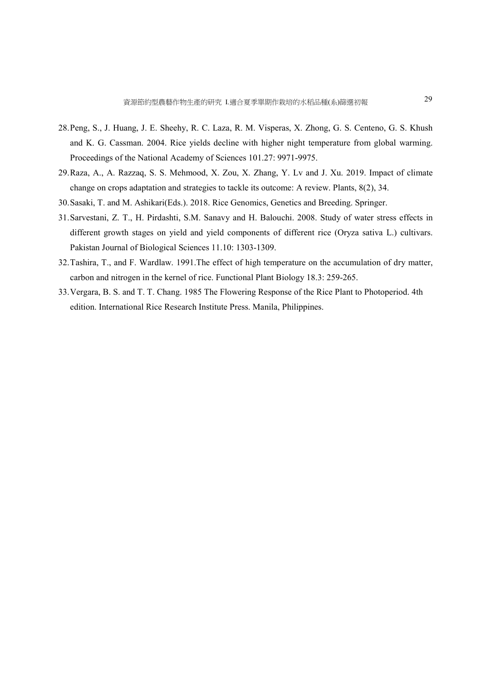- 28.Peng, S., J. Huang, J. E. Sheehy, R. C. Laza, R. M. Visperas, X. Zhong, G. S. Centeno, G. S. Khush and K. G. Cassman. 2004. Rice yields decline with higher night temperature from global warming. Proceedings of the National Academy of Sciences 101.27: 9971-9975.
- 29.Raza, A., A. Razzaq, S. S. Mehmood, X. Zou, X. Zhang, Y. Lv and J. Xu. 2019. Impact of climate change on crops adaptation and strategies to tackle its outcome: A review. Plants, 8(2), 34.
- 30.Sasaki, T. and M. Ashikari(Eds.). 2018. Rice Genomics, Genetics and Breeding. Springer.
- 31.Sarvestani, Z. T., H. Pirdashti, S.M. Sanavy and H. Balouchi. 2008. Study of water stress effects in different growth stages on yield and yield components of different rice (Oryza sativa L.) cultivars. Pakistan Journal of Biological Sciences 11.10: 1303-1309.
- 32.Tashira, T., and F. Wardlaw. 1991.The effect of high temperature on the accumulation of dry matter, carbon and nitrogen in the kernel of rice. Functional Plant Biology 18.3: 259-265.
- 33.Vergara, B. S. and T. T. Chang. 1985 The Flowering Response of the Rice Plant to Photoperiod. 4th edition. International Rice Research Institute Press. Manila, Philippines.